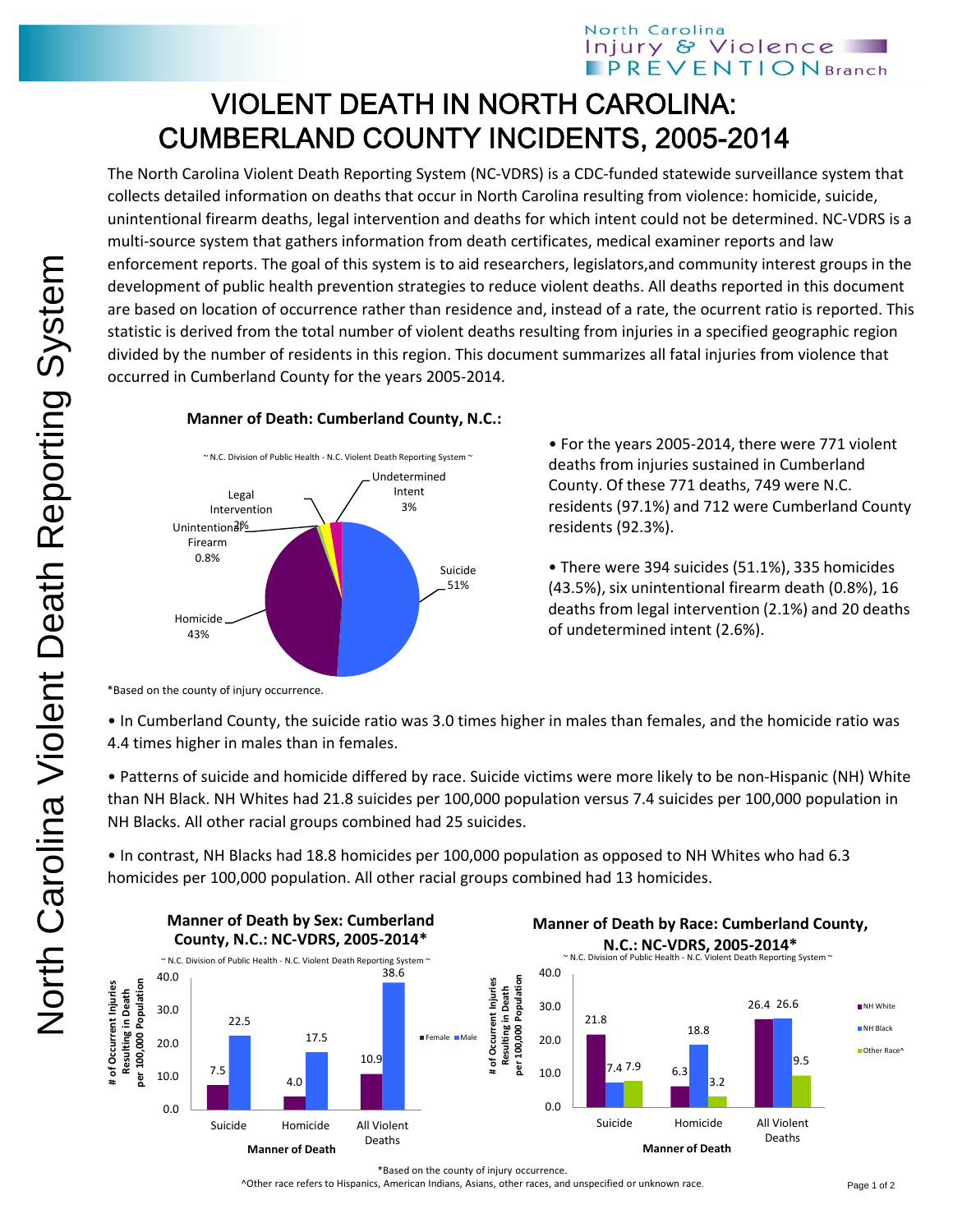## VIOLENT DEATH IN NORTH CAROLINA: CUMBERLAND COUNTY INCIDENTS, 2005-2014

The North Carolina Violent Death Reporting System (NC‐VDRS) is a CDC‐funded statewide surveillance system that collects detailed information on deaths that occur in North Carolina resulting from violence: homicide, suicide, unintentional firearm deaths, legal intervention and deaths for which intent could not be determined. NC‐VDRS is a multi-source system that gathers information from death certificates, medical examiner reports and law enforcement reports. The goal of this system is to aid researchers, legislators,and community interest groups in the development of public health prevention strategies to reduce violent deaths. All deaths reported in this document are based on location of occurrence rather than residence and, instead of a rate, the ocurrent ratio is reported. This statistic is derived from the total number of violent deaths resulting from injuries in a specified geographic region divided by the number of residents in this region. This document summarizes all fatal injuries from violence that occurred in Cumberland County for the years 2005‐2014.



## **Manner of Death: Cumberland County, N.C.:**

• For the years 2005‐2014, there were 771 violent deaths from injuries sustained in Cumberland County. Of these 771 deaths, 749 were N.C. residents (97.1%) and 712 were Cumberland County residents (92.3%).

• There were 394 suicides (51.1%), 335 homicides (43.5%), six unintentional firearm death (0.8%), 16 deaths from legal intervention (2.1%) and 20 deaths of undetermined intent (2.6%).

\*Based on the county of injury occurrence.

• In Cumberland County, the suicide ratio was 3.0 times higher in males than females, and the homicide ratio was 4.4 times higher in males than in females.

• Patterns of suicide and homicide differed by race. Suicide victims were more likely to be non‐Hispanic (NH) White than NH Black. NH Whites had 21.8 suicides per 100,000 population versus 7.4 suicides per 100,000 population in NH Blacks. All other racial groups combined had 25 suicides.

• In contrast, NH Blacks had 18.8 homicides per 100,000 population as opposed to NH Whites who had 6.3 homicides per 100,000 population. All other racial groups combined had 13 homicides.



\*Based on the county of injury occurrence.

^Other race refers to Hispanics, American Indians, Asians, other races, and unspecified or unknown race.